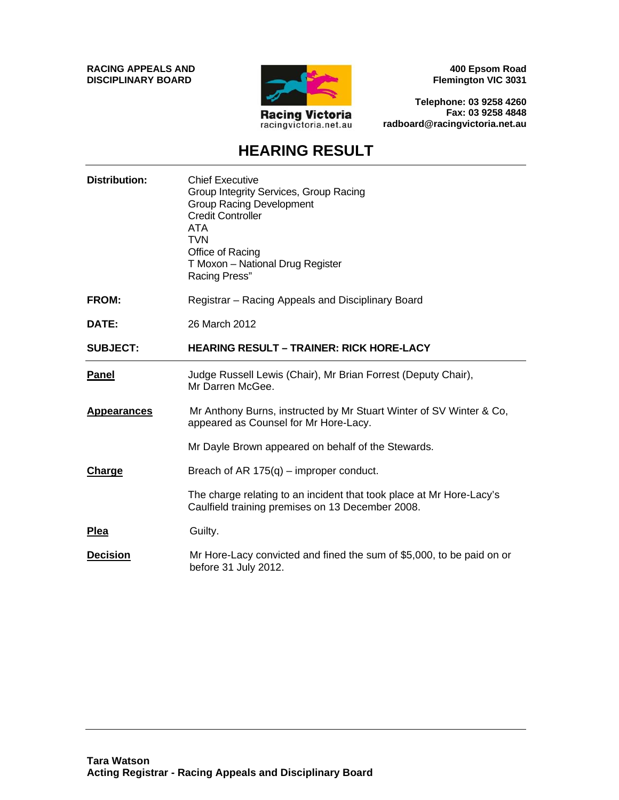**RACING APPEALS AND DISCIPLINARY BOARD**



**400 Epsom Road Flemington VIC 3031**

**Telephone: 03 9258 4260 Fax: 03 9258 4848 radboard@racingvictoria.net.au**

### **HEARING RESULT**

| <b>Distribution:</b> | <b>Chief Executive</b><br>Group Integrity Services, Group Racing<br><b>Group Racing Development</b><br><b>Credit Controller</b><br>ATA<br><b>TVN</b><br>Office of Racing<br>T Moxon - National Drug Register<br>Racing Press" |
|----------------------|-------------------------------------------------------------------------------------------------------------------------------------------------------------------------------------------------------------------------------|
| <b>FROM:</b>         | Registrar - Racing Appeals and Disciplinary Board                                                                                                                                                                             |
| DATE:                | 26 March 2012                                                                                                                                                                                                                 |
| <b>SUBJECT:</b>      | <b>HEARING RESULT – TRAINER: RICK HORE-LACY</b>                                                                                                                                                                               |
| <b>Panel</b>         | Judge Russell Lewis (Chair), Mr Brian Forrest (Deputy Chair),<br>Mr Darren McGee.                                                                                                                                             |
| <b>Appearances</b>   | Mr Anthony Burns, instructed by Mr Stuart Winter of SV Winter & Co,<br>appeared as Counsel for Mr Hore-Lacy.                                                                                                                  |
|                      | Mr Dayle Brown appeared on behalf of the Stewards.                                                                                                                                                                            |
| Charge               | Breach of AR $175(q)$ – improper conduct.                                                                                                                                                                                     |
|                      | The charge relating to an incident that took place at Mr Hore-Lacy's<br>Caulfield training premises on 13 December 2008.                                                                                                      |
| <b>Plea</b>          | Guilty.                                                                                                                                                                                                                       |
| <b>Decision</b>      | Mr Hore-Lacy convicted and fined the sum of \$5,000, to be paid on or<br>before 31 July 2012.                                                                                                                                 |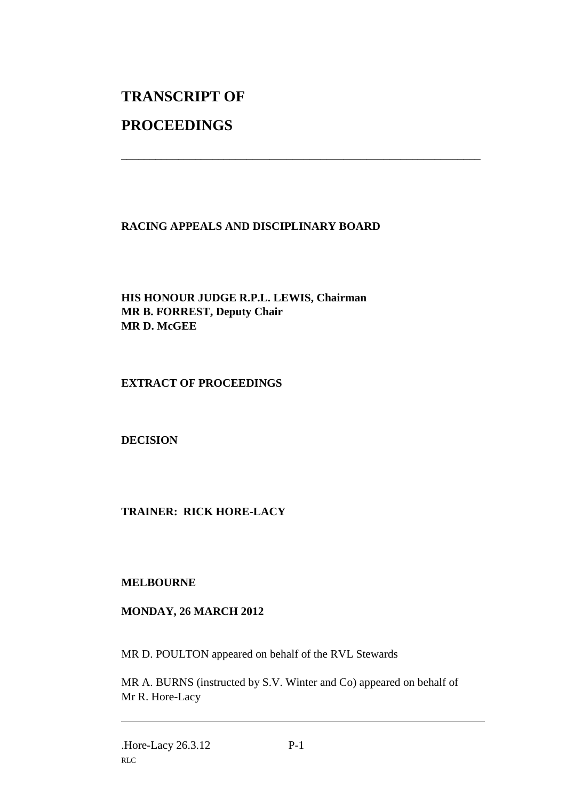# **TRANSCRIPT OF**

## **PROCEEDINGS**

#### **RACING APPEALS AND DISCIPLINARY BOARD**

\_\_\_\_\_\_\_\_\_\_\_\_\_\_\_\_\_\_\_\_\_\_\_\_\_\_\_\_\_\_\_\_\_\_\_\_\_\_\_\_\_\_\_\_\_\_\_\_\_\_\_\_\_\_\_\_\_\_\_\_\_\_\_

**HIS HONOUR JUDGE R.P.L. LEWIS, Chairman MR B. FORREST, Deputy Chair MR D. McGEE**

#### **EXTRACT OF PROCEEDINGS**

**DECISION**

#### **TRAINER: RICK HORE-LACY**

#### **MELBOURNE**

#### **MONDAY, 26 MARCH 2012**

MR D. POULTON appeared on behalf of the RVL Stewards

MR A. BURNS (instructed by S.V. Winter and Co) appeared on behalf of Mr R. Hore-Lacy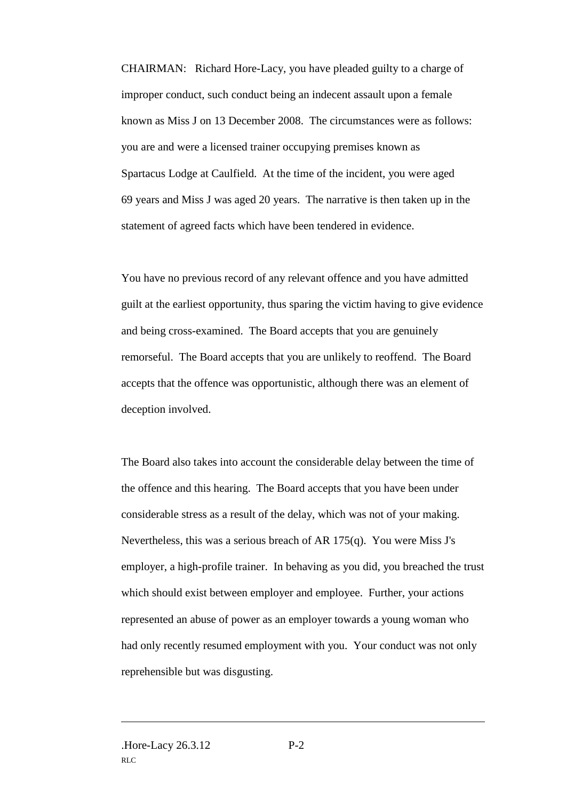CHAIRMAN: Richard Hore-Lacy, you have pleaded guilty to a charge of improper conduct, such conduct being an indecent assault upon a female known as Miss J on 13 December 2008. The circumstances were as follows: you are and were a licensed trainer occupying premises known as Spartacus Lodge at Caulfield. At the time of the incident, you were aged 69 years and Miss J was aged 20 years. The narrative is then taken up in the statement of agreed facts which have been tendered in evidence.

You have no previous record of any relevant offence and you have admitted guilt at the earliest opportunity, thus sparing the victim having to give evidence and being cross-examined. The Board accepts that you are genuinely remorseful. The Board accepts that you are unlikely to reoffend. The Board accepts that the offence was opportunistic, although there was an element of deception involved.

The Board also takes into account the considerable delay between the time of the offence and this hearing. The Board accepts that you have been under considerable stress as a result of the delay, which was not of your making. Nevertheless, this was a serious breach of AR 175(q). You were Miss J's employer, a high-profile trainer. In behaving as you did, you breached the trust which should exist between employer and employee. Further, your actions represented an abuse of power as an employer towards a young woman who had only recently resumed employment with you. Your conduct was not only reprehensible but was disgusting.